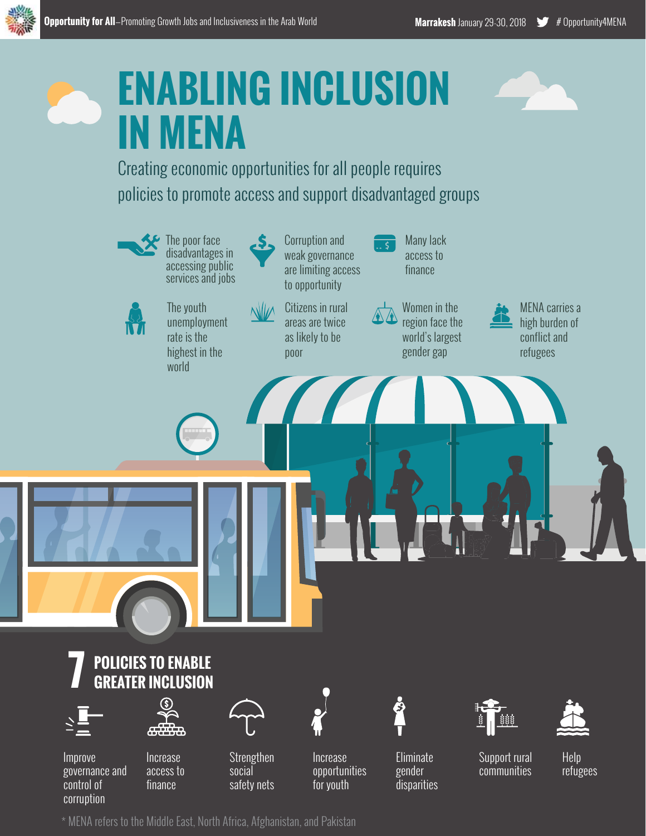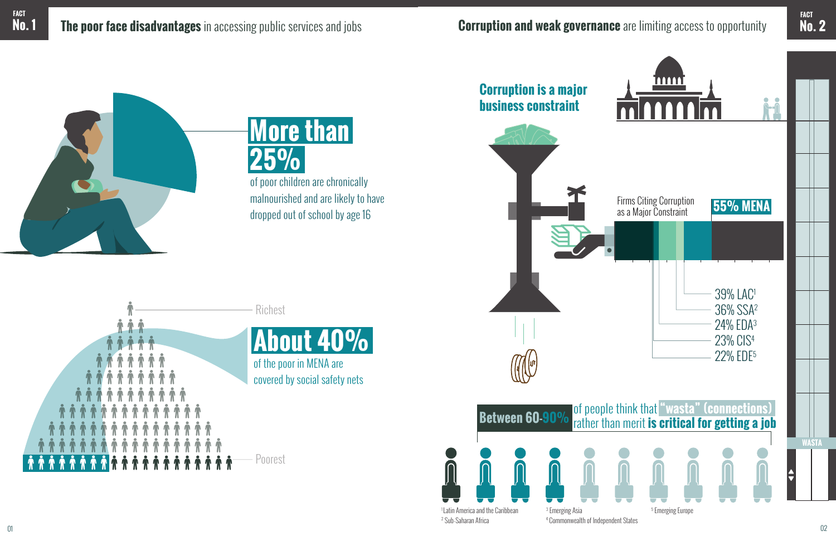

**More than 25%**

of poor children are chronically malnourished and are likely to have dropped out of school by age 16





1 Latin America and the Caribbean 2 Sub-Saharan Africa

**FACT**

3 Emerging Asia 4 Commonwealth of Independent States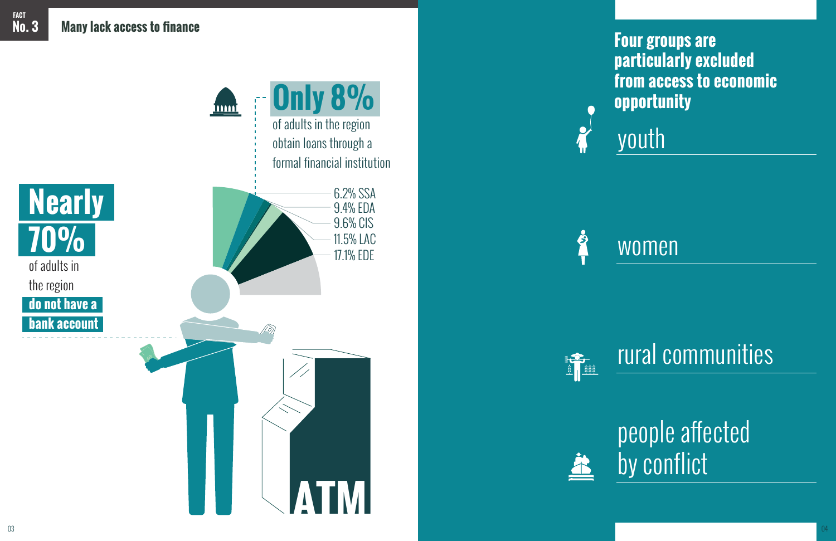

Ż



**FACT**

youth

## women

## rural communities

# people affected by conflict

### **Four groups are particularly excluded from access to economic opportunity**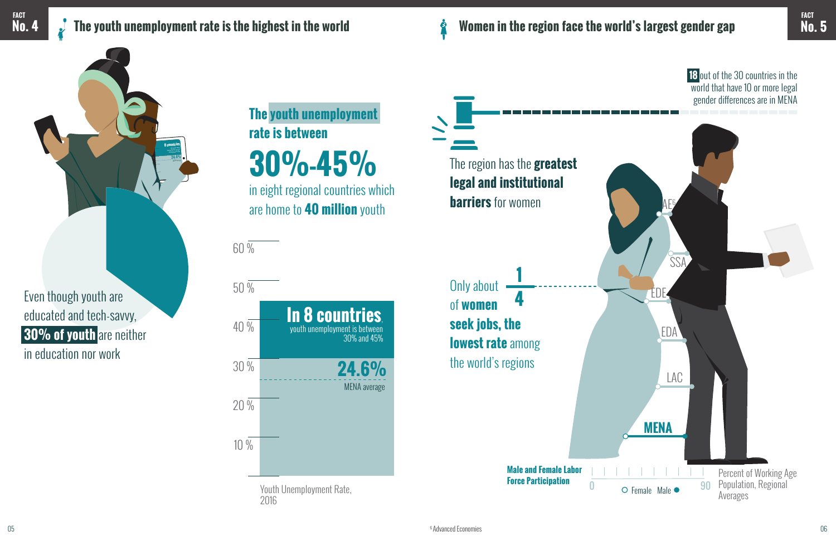**The youth unemployment rate is between** 

**30%-45%**

in eight regional countries which are home to **40 million** youth

**8 countries** fall in this range exceeding the average unest playment rate

### **No. 4 The youth unemployment rate is the highest in the world**

**FACT**

Youth Unemployment Rate, 2016

**24.6%** MENA average



30 % 20 % **18** out of the 30 countries in the world that have 10 or more legal gender differences are in MENA

Even though youth are

educated and tech-savvy,

**30% of youth** are neither

in education nor work

60 %

The region has the **greatest legal and institutional barriers** for women

**Women in the region face the world's largest gender gap**

Š

Only about of **women seek jobs, the lowest rate** among the world's regions **1 4**



**Male and Female Labor** 

**No. 5 FACT**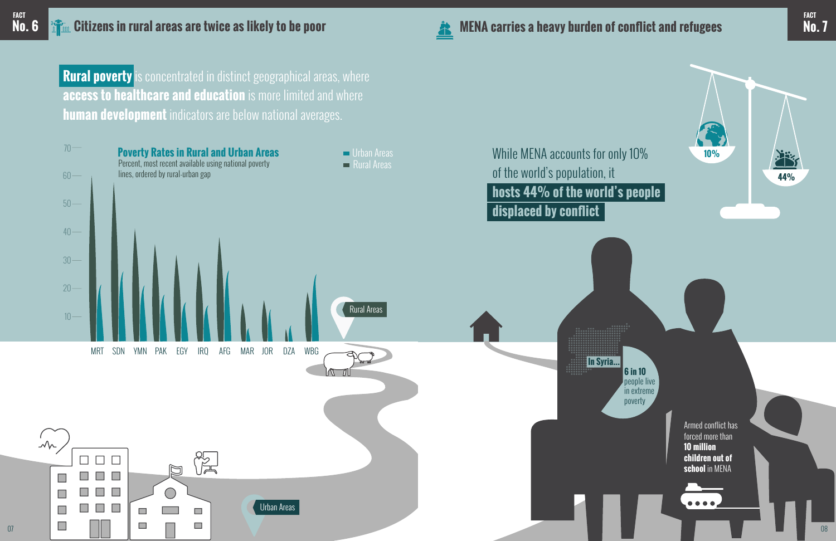Armed conflict has forced more than **10 million children out of school** in MENA

 $\bullet\bullet\bullet\bullet$ 



**Rural poverty** is concentrated in distinct geographical areas, where **access to healthcare and education** is more limited and where **human development** indicators are below national averages.





07

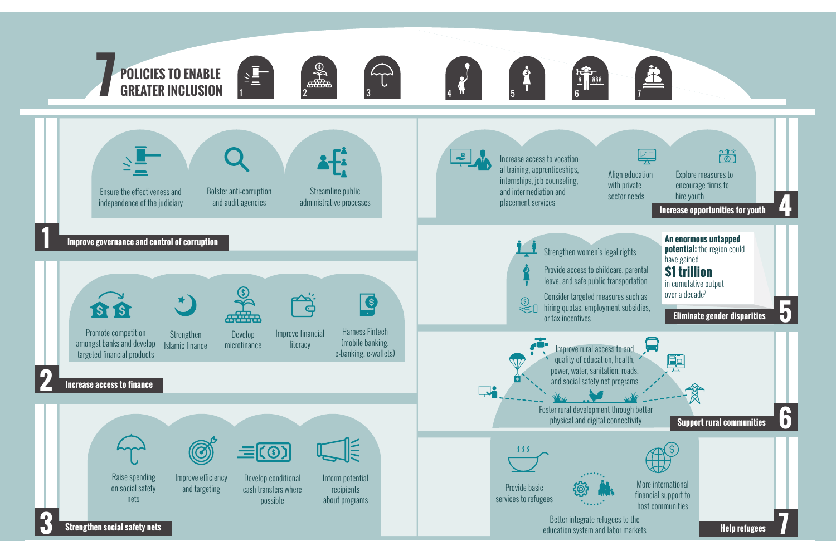